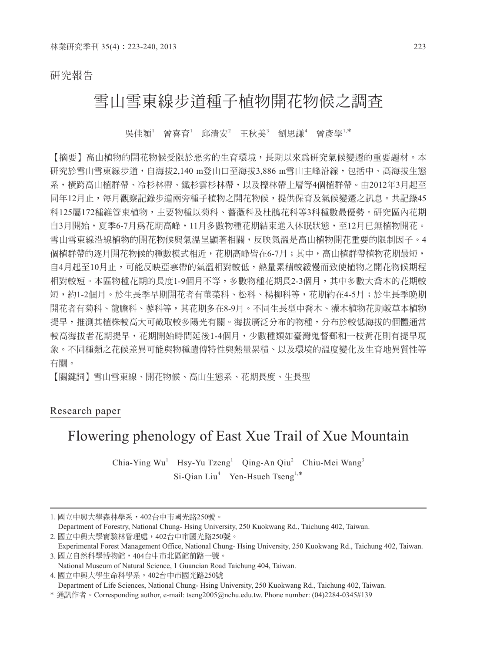### 研究報告

## 雪山雪東線步道種子植物開花物候之調查

吳佳穎<sup>1</sup> 曾喜育<sup>1</sup> 邱清安<sup>2</sup> 王秋美<sup>3</sup> 劉思謙<sup>4</sup> 曾彥學<sup>1,\*</sup>

【摘要】高山植物的開花物候受限於惡劣的生育環境,長期以來為研究氣候變遷的重要題材。本 研究於雪山雪東線步道,自海拔2,140 m登山口至海拔3,886 m雪山主峰沿線,包括中、高海拔生態 系,橫跨高山植群帶、冷杉林帶、鐵杉雲杉林帶,以及櫟林帶上層等4個植群帶。由2012年3月起至 同年12月止,每月觀察記錄步道兩旁種子植物之開花物候,提供保育及氣候變遷之訊息。共記錄45 科125屬172種維管束植物,主要物種以菊科、薔薇科及杜鵑花科等3科種數最優勢。研究區內花期 自3月開始,夏季6-7月為花期高峰,11月多數物種花期結束進入休眠狀態,至12月已無植物開花。 雪山雪東線沿線植物的開花物候與氣溫呈顯著相關,反映氣溫是高山植物開花重要的限制因子。4 個植群帶的逐月開花物候的種數模式相近,花期高峰皆在6-7月;其中,高山植群帶植物花期最短, 自4月起至10月止,可能反映亞寒帶的氣溫相對較低,熱量累積較緩慢而致使植物之開花物候期程 相對較短。本區物種花期的長度1-9個月不等,多數物種花期長2-3個月,其中多數大喬木的花期較 短,約1-2個月。於生長季早期開花者有菫菜科、松科、楊柳科等,花期約在4-5月;於生長季晩期 開花者有菊科、龍膽科、蓼科等,其花期多在8-9月。不同生長型中喬木、灌木植物花期較草本植物 提早,推測其植株較高大可截取較多陽光有關。海拔廣泛分布的物種,分布於較低海拔的個體通常 較高海拔者花期提早,花期開始時間延後1-4個月,少數種類如臺灣鬼督郵和一枝黃花則有提早現 象。不同種類之花候差異可能與物種遺傳特性與熱量累積、以及環境的溫度變化及生育地異質性等 有關。

【關鍵詞】雪山雪東線、開花物候、高山生態系、花期長度、生長型

### Research paper

# Flowering phenology of East Xue Trail of Xue Mountain

Chia-Ying Wu<sup>1</sup> Hsy-Yu Tzeng<sup>1</sup> Qing-An Qiu<sup>2</sup> Chiu-Mei Wang<sup>3</sup> Si-Qian Liu<sup>4</sup> Yen-Hsueh Tseng<sup>1,\*</sup>

Department of Forestry, National Chung- Hsing University, 250 Kuokwang Rd., Taichung 402, Taiwan. 2. 國立中興大學實驗林管理處,402台中市國光路250號。

4. 國立中興大學生命科學系,402台中市國光路250號

Department of Life Sciences, National Chung- Hsing University, 250 Kuokwang Rd., Taichung 402, Taiwan.

<sup>1.</sup> 國立中興大學森林學系,402台中市國光路250號。

Experimental Forest Management Office, National Chung- Hsing University, 250 Kuokwang Rd., Taichung 402, Taiwan. 3. 國立自然科學博物館,404台中市北區館前路一號。

National Museum of Natural Science, 1 Guancian Road Taichung 404, Taiwan.

<sup>\*</sup> 通訊作者。Corresponding author, e-mail: tseng2005@nchu.edu.tw. Phone number: (04)2284-0345#139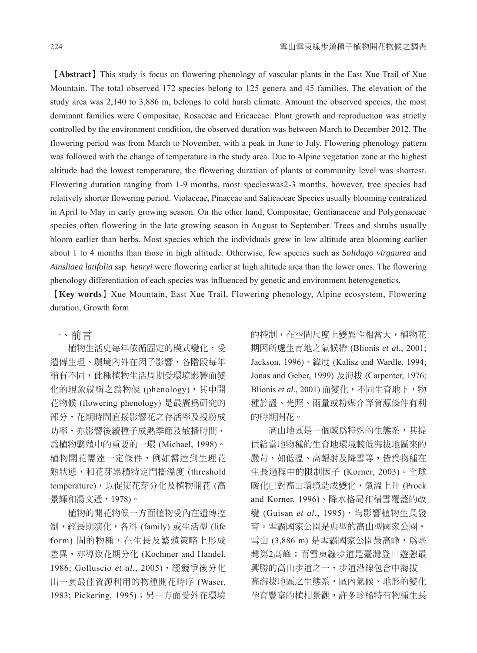【**Abstract**】This study is focus on flowering phenology of vascular plants in the East Xue Trail of Xue Mountain. The total observed 172 species belong to 125 genera and 45 families. The elevation of the study area was 2,140 to 3,886 m, belongs to cold harsh climate. Amount the observed species, the most dominant families were Compositae, Rosaceae and Ericaceae. Plant growth and reproduction was strictly controlled by the environment condition, the observed duration was between March to December 2012. The flowering period was from March to November, with a peak in June to July. Flowering phenology pattern was followed with the change of temperature in the study area. Due to Alpine vegetation zone at the highest altitude had the lowest temperature, the flowering duration of plants at community level was shortest. Flowering duration ranging from 1-9 months, most specieswas2-3 months, however, tree species had relatively shorter flowering period. Violaceae, Pinaceae and Salicaceae Species usually blooming centralized in April to May in early growing season. On the other hand, Compositae, Gentianaceae and Polygonaceae species often flowering in the late growing season in August to September. Trees and shrubs usually bloom earlier than herbs. Most species which the individuals grew in low altitude area blooming earlier about 1 to 4 months than those in high altitude. Otherwise, few species such as *Solidago virgaurea* and *Ainsliaea latifolia* ssp. *henryi* were flowering earlier at high altitude area than the lower ones. The flowering phenology differentiation of each species was influenced by genetic and environment heterogenetics.

【**Key words**】Xue Mountain, East Xue Trail, Flowering phenology, Alpine ecosystem, Flowering duration, Growth form

#### 一、前言

植物生活史每年依循固定的模式變化,受 遺傳生理、環境內外在因子影響,各階段每年 稍有不同,此種植物生活周期受環境影響而變 化的現象就稱之為物候 (phenology),其中開 花物候 (flowering phenology) 是最廣為研究的 部分,花期時間直接影響花之存活率及授粉成 功率,亦影響後續種子成熟季節及散播時間, 為植物繁殖中的重要的一環 (Michael, 1998)。 植物開花需達一定條件,例如需達到生理花 熟狀態,和花芽累積特定門檻溫度 (threshold temperature),以促使花芽分化及植物開花 (高 景輝和湯文通,1978)。

植物的開花物候一方面植物受內在遺傳控 制,經長期演化,各科 (family) 或生活型 (life form) 間的物種, 在生長及繁殖策略上形成 差異,亦導致花期分化 (Kochmer and Handel, 1986; Golluscio *et al*., 2005),經競爭後分化 出一套最佳資源利用的物種開花時序 (Waser, 1983; Pickering, 1995);另一方面受外在環境

的控制,在空間尺度上變異性相當大,植物花 期因所處生育地之氣候帶 (Blionis *et al*., 2001; Jackson, 1996)、緯度 (Kalisz and Wardle, 1994; Jonas and Geber, 1999) 及海拔 (Carpenter, 1976; Blionis et al., 2001) 而變化,不同生育地下, 物 種於溫、光照、雨量或粉媒介等資源條件有利 的時期開花。

高山地區是一個較為特殊的生態系,其提 供給當地物種的生育地環境較低海拔地區來的 嚴苛,如低溫、高輻射及降雪等,皆為物種在 生長過程中的限制因子 (Korner, 2003)。全球 暖化已對高山環境造成變化,氣溫上升 (Prock and Korner, 1996)、降水格局和積雪覆蓋的改 變 (Guisan et al., 1995), 均影響植物生長發 育。雪霸國家公園是典型的高山型國家公園, 雪山 (3,886 m) 是雪霸國家公園最高峰,為臺 灣第2高峰;而雪東線步道是臺灣登山遊憩最 興勝的高山步道之一,步道沿線包含中海拔— 高海拔地區之生態系,區內氣候、地形的變化 孕育豐富的植相景觀,許多珍稀特有物種生長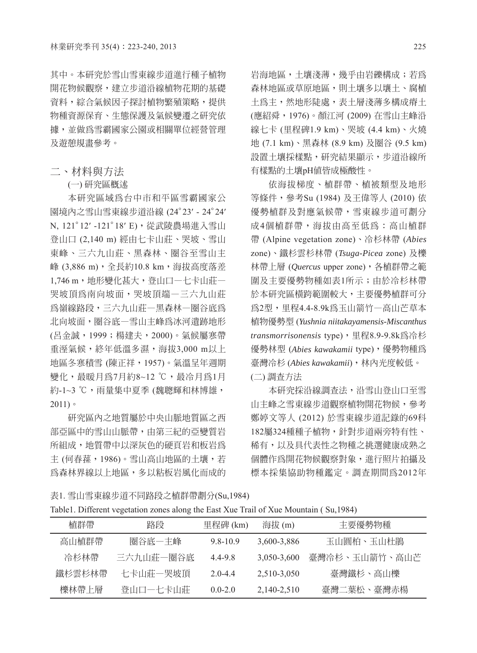其中。本研究於雪山雪東線步道進行種子植物 開花物候觀察,建立步道沿線植物花期的基礎 資料,綜合氣候因子探討植物繁殖策略,提供 物種資源保育、生態保護及氣候變遷之研究依 據,並做為雪霸國家公園或相關單位經營管理 及遊憩規畫參考。

二、材料與方法

(一) 研究區概述

本研究區域為台中市和平區雪霸國家公 園境內之雪山雪東線步道沿線 (24°23′ - 24°24′ N, 121°12′ -121°18′ E),從武陵農場進入雪山 登山口 (2,140 m) 經由七卡山莊、哭坡、雪山 東峰、三六九山莊、黑森林、圈谷至雪山主 峰 (3,886 m), 全長約10.8 km, 海拔高度落差 1,746 m,地形變化甚大,登山口一七卡山莊一 哭坡頂為南向坡面,哭坡頂端—三六九山莊 為嶺線路段,三六九山莊—黑森林—圈谷底為 北向坡面,圈谷底—雪山主峰為冰河遺跡地形 (呂金誠,1999;楊建夫,2000)。氣候屬寒帶 重溼氣候,終年低溫多濕,海拔3,000 m以上 地區冬寒積雪 (陳正祥,1957)。氣溫呈年週期 變化,最暖月為7月約8~12 ℃,最冷月為1月 約-1~3 ℃,雨量集中夏季 (魏聰輝和林博雄,  $2011$ )。

研究區內之地質屬於中央山脈地質區之西 部亞區中的雪山山脈帶,由第三紀的亞變質岩 所組成,地質帶中以深灰色的硬頁岩和板岩為 主 (何春蓀,1986)。雪山高山地區的土壤,若 為森林界線以上地區,多以粘板岩風化而成的

岩海地區,土壤淺薄,幾乎由岩礫構成;若為 森林地區或草原地區,則土壤多以壤土、腐植 土為主,然地形陡處,表土層淺薄多構成瘠土 (應紹舜,1976)。顏江河 (2009) 在雪山主峰沿 線七卡 (里程碑1.9 km)、哭坡 (4.4 km)、火燒 地 (7.1 km)、黑森林 (8.9 km) 及圈谷 (9.5 km) 設置土壤採樣點,研究結果顯示,步道沿線所 有樣點的土壤pH值皆成極酸性。

依海拔梯度、植群帶、植被類型及地形 等條件,參考Su (1984) 及王偉等人 (2010) 依 優勢植群及對應氣候帶,雪東線步道可劃分 成4個植群帶,海拔由高至低為:高山植群 帶 (Alpine vegetation zone)、冷杉林帶 (*Abies* zone)、鐵杉雲杉林帶 (*Tsuga-Picea* zone) 及櫟 林帶上層 (*Quercus* upper zone),各植群帶之範 圍及主要優勢物種如表1所示;由於冷杉林帶 於本研究區橫跨範圍較大,主要優勢植群可分 為2型,里程4.4-8.9k為玉山箭竹—高山芒草本 植物優勢型 (*Yushnia niitakayamensis-Miscanthus transmorrisonensis* type),里程8.9-9.8k為冷杉 優勢林型 (*Abies kawakamii* type),優勢物種為 臺灣冷杉 (*Abies kawakamii*),林內光度較低。 (二) 調查方法

本研究採沿線調查法,沿雪山登山口至雪 山主峰之雪東線步道觀察植物開花物候,參考 鄭婷文等人 (2012) 於雪東線步道記錄的69科 182屬324種種子植物,針對步道兩旁特有性、 稀有,以及具代表性之物種之挑選健康成熟之 個體作為開花物候觀察對象,進行照片拍攝及 標本採集協助物種鑑定。調查期間為2012年

表1. 雪山雪東線步道不同路段之植群帶劃分(Su,1984)

|  |  |  |  |  | Table1. Different vegetation zones along the East Xue Trail of Xue Mountain (Su,1984) |  |  |
|--|--|--|--|--|---------------------------------------------------------------------------------------|--|--|
|  |  |  |  |  |                                                                                       |  |  |

| 植群帶    | 路段        | 里程碑 (km)    | 海拔 (m)      | 丰要優勢物種        |
|--------|-----------|-------------|-------------|---------------|
| 高山植群帶  | 圈谷底一主峰    | 9.8-10.9    | 3,600-3,886 | 玉山圓柏、玉山杜鵑     |
| 冷杉林帶   | 三六九山莊一圈谷底 | 4.4-9.8     | 3.050-3.600 | 臺灣冷杉、玉山箭竹、高山芒 |
| 鐵杉雲杉林帶 | 七卡山莊一哭坡頂  | $2.0 - 4.4$ | 2,510-3,050 | 臺灣鐵杉、高山櫟      |
| 櫟林帶上層  | 登山口一七卡山莊  | $0.0 - 2.0$ | 2,140-2,510 | 臺灣二葉松、臺灣赤楊    |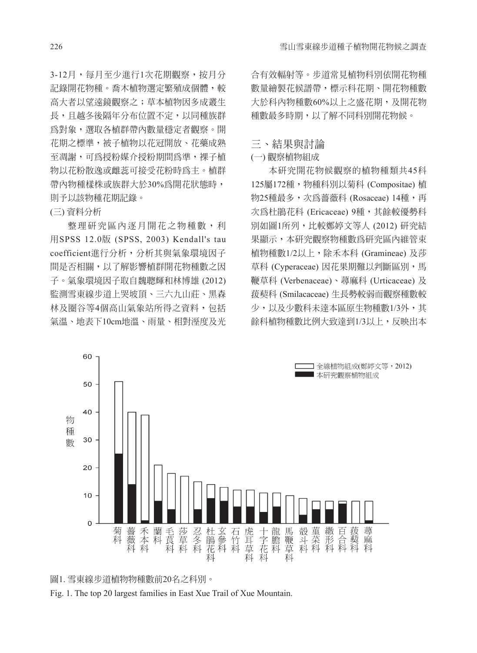3-12月,每月至少進行1次花期觀察,按月分 記錄開花物種。喬木植物選定繁殖成個體,較 高大者以望遠鏡觀察之;草本植物因多成叢生 長,且越冬後隔年分布位置不定,以同種族群 為對象,選取各植群帶內數量穩定者觀察。開 花期之標準,被子植物以花冠開放、花藥成熟 至凋謝,可為授粉媒介授粉期間為準,裸子植 物以花粉散逸或雌蕊可接受花粉時為主。植群 帶內物種樣株或族群大於30%為開花狀態時, 則予以該物種花期記錄。

(三) 資料分析

整理研究區內逐月開花之物種數,利 用SPSS 12.0版 (SPSS, 2003) Kendall's tau coefficient進行分析,分析其與氣象環境因子 間是否相關,以了解影響植群開花物種數之因 子。氣象環境因子取自魏聰輝和林博雄 (2012) 監測雪東線步道上哭坡頂、三六九山莊、黑森 林及圈谷等4個高山氣象站所得之資料,包括 氣溫、地表下10cm地溫、雨量、相對溼度及光

合有效輻射等。步道常見植物科別依開花物種 數量繪製花候譜帶,標示科花期、開花物種數 大於科內物種數60%以上之盛花期,及開花物 種數最多時期,以了解不同科別開花物候。

#### 三、結果與討論

#### (一) 觀察植物組成

本研究開花物候觀察的植物種類共45科 125屬172種,物種科別以菊科 (Compositae) 植 物25種最多,次為薔薇科 (Rosaceae) 14種,再 次為杜鵑花科 (Ericaceae) 9種,其餘較優勢科 別如圖1所列,比較鄭婷文等人 (2012) 研究結 果顯示,本研究觀察物種數為研究區內維管束 植物種數1/2以上,除禾本科 (Gramineae) 及莎 草科 (Cyperaceae) 因花果期難以判斷區別,馬 鞭草科 (Verbenaceae)、蕁麻科 (Urticaceae) 及 菝葜科 (Smilacaceae) 生長勢較弱而觀察種數較 少,以及少數科未達本區原生物種數1/3外,其 餘科植物種數比例大致達到1/3以上,反映出本



圖1. 雪東線步道植物物種數前20名之科別。

Fig. 1. The top 20 largest families in East Xue Trail of Xue Mountain.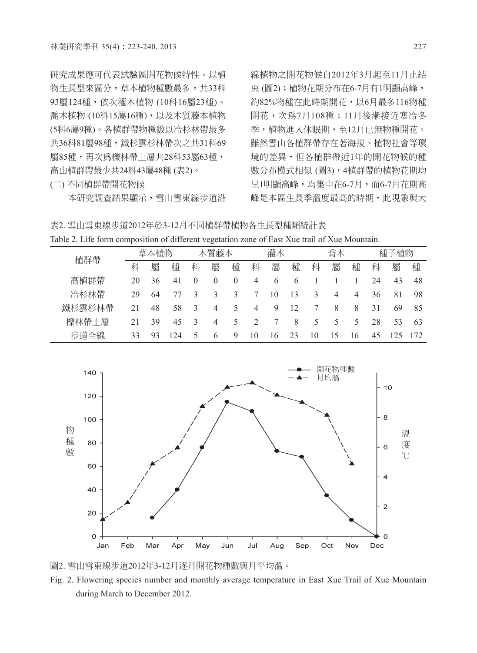研究成果應可代表試驗區開花物候特性。以植 物生長型來區分,草本植物種數最多,共33科 93屬124種,依次灌木植物 (10科16屬23種)、 喬木植物 (10科15屬16種),以及木質藤本植物 (5科6屬9種)。各植群帶物種數以冷杉林帶最多 共36科81屬98種,鐵杉雲杉林帶次之共31科69 屬85種,再次為櫟林帶上層共28科53屬63種, 高山植群帶最少共24科43屬48種 (表2)。

(二) 不同植群帶開花物候

本研究調查結果顯示,雪山雪東線步道沿

線植物之開花物候自2012年3月起至11月止結 束 (圖2);植物花期分布在6-7月有1明顯高峰, 約82%物種在此時期開花,以6月最多116物種 開花,次為7月108種;11月後漸接近寒冷冬 季,植物進入休眠期,至12月已無物種開花。 雖然雪山各植群帶存在著海拔、植物社會等環 境的差異,但各植群帶近1年的開花物候的種 數分布模式相似 (圖3),4植群帶的植物花期均 呈1明顯高峰,均集中在6-7月,而6-7月花期高 峰是本區生長季溫度最高的時期,此現象與大

表2. 雪山雪東線步道2012年於3-12月不同植群帶植物各生長型種類統計表 Table 2. Life form composition of different vegetation zone of East Xue trail of Xue Mountain.

| 植群帶           | 植物<br>草本 |    | 木質藤本 |   | 灌木 |   | 喬木 |   | 種子植物 |    |   |     |    |    |     |
|---------------|----------|----|------|---|----|---|----|---|------|----|---|-----|----|----|-----|
|               | 科        | 屬  | 種    | 科 | 屬  | 種 | 科  | 屬 | 種    | 科  | 屬 | 種   | 科  | 屬  | 種   |
| 高植群帶          | 20       | 36 | 41   |   |    |   | 4  | O | O    |    |   |     | 24 | 43 | 48  |
| 冷杉林帶          | 29       | 64 |      |   |    |   |    | 0 | 13   |    | 4 | 4   | 36 | 81 | 98  |
| 鐵杉雲杉林帶        |          | 48 | 58   |   | 4  | ╮ | 4  | 9 | 12   |    | 8 | 8   | 31 | 69 | 85  |
| 櫟林帶<br>層<br>⊢ |          | 39 | 45   |   | 4  |   |    |   | 8    | ↖  |   |     | 28 | 53 | 63  |
| 步道全線          | 33       | 93 | 24   |   | b  | ч | 10 | 6 |      | 10 | Ć | l 6 | 45 |    | 172 |



圖2. 雪山雪東線步道2012年3-12月逐月開花物種數與月平均溫。

Fig. 2. Flowering species number and monthly average temperature in East Xue Trail of Xue Mountain during March to December 2012.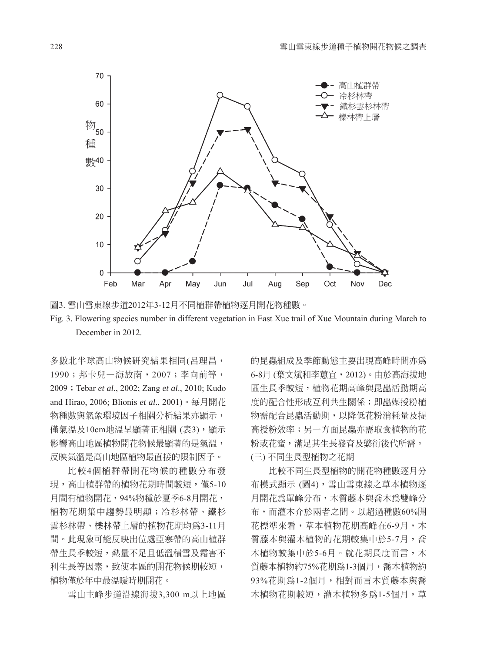





多數北半球高山物候研究結果相同(呂理昌, 1990;邦卡兒—海放南,2007;李向前等, 2009;Tebar *et al*., 2002; Zang *et al*., 2010; Kudo and Hirao, 2006; Blionis *et al*., 2001)。每月開花 物種數與氣象環境因子相關分析結果亦顯示, 僅氣溫及10cm地溫呈顯著正相關 (表3),顯示 影響高山地區植物開花物候最顯著的是氣溫, 反映氣溫是高山地區植物最直接的限制因子。

比較4個植群帶開花物候的種數分布發 現,高山植群帶的植物花期時間較短,僅5-10 月間有植物開花,94%物種於夏季6-8月開花, 植物花期集中趨勢最明顯;冷杉林帶、鐵杉 雲杉林帶、櫟林帶上層的植物花期均為3-11月 間。此現象可能反映出位處亞寒帶的高山植群 帶生長季較短,熱量不足且低溫積雪及霜害不 利生長等因素,致使本區的開花物候期較短, 植物僅於年中最溫暖時期開花。

雪山主峰步道沿線海拔3,300 m以上地區

的昆蟲組成及季節動態主要出現高峰時間亦為 6-8月 (葉文斌和李蕙宜,2012)。由於高海拔地 區生長季較短,植物花期高峰與昆蟲活動期高 度的配合性形成互利共生關係;即蟲媒授粉植 物需配合昆蟲活動期,以降低花粉消耗量及提 高授粉效率;另一方面昆蟲亦需取食植物的花 粉或花蜜,滿足其生長發育及繁衍後代所需。 (三) 不同生長型植物之花期

比較不同生長型植物的開花物種數逐月分 布模式顯示 (圖4),雪山雪東線之草本植物逐 月開花為單峰分布,木質藤本與喬木為雙峰分 布,而灌木介於兩者之間。以超過種數60%開 花標準來看,草本植物花期高峰在6-9月,木 質藤本與灌木植物的花期較集中於5-7月,喬 木植物較集中於5-6月。就花期長度而言,木 質藤本植物約75%花期為1-3個月,喬木植物約 93%花期為1-2個月,相對而言木質藤本與喬 木植物花期較短,灌木植物多為1-5個月,草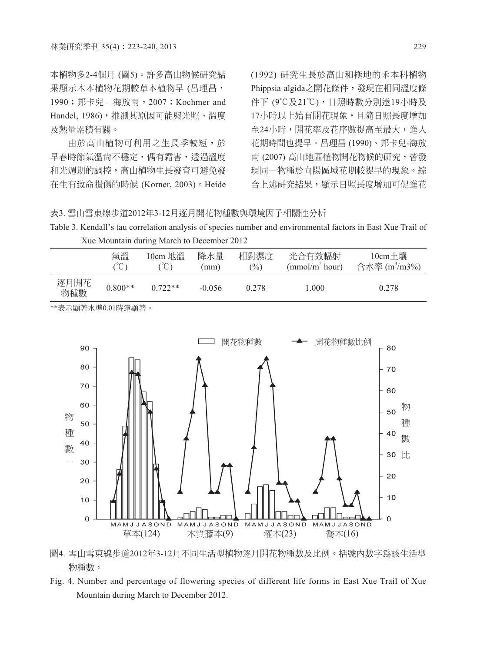本植物多2-4個月 (圖5)。許多高山物候研究結 果顯示木本植物花期較草本植物早 (呂理昌, 1990;邦卡兒—海放南,2007;Kochmer and Handel, 1986), 推測其原因可能與光照、溫度 及熱量累積有關。

由於高山植物可利用之生長季較短,於 早春時節氣溫尙不穩定, 偶有霜害, 诱渦溫度 和光週期的調控,高山植物生長發育可避免發 在生有致命損傷的時候 (Korner, 2003)。Heide (1992) 研究生長於高山和極地的禾本科植物 Phippsia algida之開花條件,發現在相同溫度條 件下 (9℃及21℃),日照時數分別達19小時及 17小時以上始有開花現象,且隨日照長度增加 至24小時,開花率及花序數提高至最大,進入 花期時間也提早。呂理昌 (1990)、邦卡兒-海放 南 (2007) 高山地區植物開花物候的研究,皆發 現同一物種於向陽區域花期較提早的現象。綜 合上述研究結果,顯示日照長度增加可促進花

#### 表3. 雪山雪東線步道2012年3-12月逐月開花物種數與環境因子相關性分析

Table 3. Kendall's tau correlation analysis of species number and environmental factors in East Xue Trail of Xue Mountain during March to December 2012

|             | 氣溫<br>$\sim$<br>◡ | 10cm 地溫<br>$\sim$ | 降水量<br>(mm) | 相對濕度<br>$\frac{6}{2}$ | 光合有效輻射<br>(mmol/m <sup>2</sup> hour) | $10cm + $ 壤<br>含水率 (m <sup>3</sup> /m3%) |
|-------------|-------------------|-------------------|-------------|-----------------------|--------------------------------------|------------------------------------------|
| 逐月開花<br>物種數 | $0.800**$         | $0.722**$         | $-0.056$    | 0.278                 | 1.000                                | 0.278                                    |

\*\*表示顯著水準0.01時達顯著。



圖4. 雪山雪東線步道2012年3-12月不同生活型植物逐月開花物種數及比例。括號內數字為該生活型 物種數。

Fig. 4. Number and percentage of flowering species of different life forms in East Xue Trail of Xue Mountain during March to December 2012.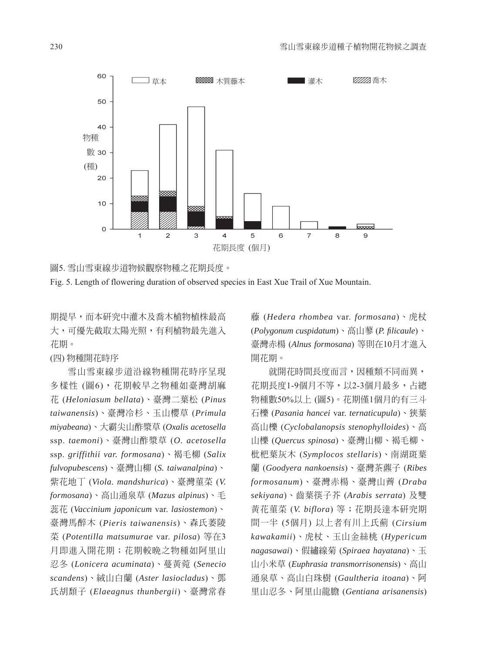

圖5. 雪山雪東線步道物候觀察物種之花期長度。

Fig. 5. Length of flowering duration of observed species in East Xue Trail of Xue Mountain.

期提早,而本研究中灌木及喬木植物植株最高 大,可優先截取太陽光照,有利植物最先進入 花期。

(四) 物種開花時序

雪山雪東線步道沿線物種開花時序呈現 多樣性 (圖6),花期較早之物種如臺灣胡麻 花 (*Heloniasum bellata*)、臺灣二葉松 (*Pinus taiwanensis*)、臺灣冷杉、玉山櫻草 (*Primula miyabeana*)、大霸尖山酢漿草 (*Oxalis acetosella*  ssp. *taemoni*)、臺灣山酢漿草 (*O. acetosella*  ssp. *griffithii var. formosana*)、褐毛柳 (*Salix fulvopubescens*)、臺灣山柳 (*S. taiwanalpina*)、 紫花地丁 (*Viola. mandshurica*)、臺灣菫菜 (*V. formosana*)、高山通泉草 (*Mazus alpinus*)、毛 蕊花 (*Vaccinium japonicum* var. *lasiostemon*)、 臺灣馬醉木 (*Pieris taiwanensis*)、森氏萎陵 菜 (*Potentilla matsumurae* var. *pilosa*) 等在3 月即進入開花期;花期較晚之物種如阿里山 忍冬 (*Lonicera acuminata*)、蔓黃菀 (*Senecio scandens*)、絨山白蘭 (*Aster lasiocladus*)、鄧 氏胡頹子 (*Elaeagnus thunbergii*)、臺灣常春

藤 (*Hedera rhombea* var. *formosana*)、虎杖 (*Polygonum cuspidatum*)、高山蓼 (*P. fi licaule*)、 臺灣赤楊 (*Alnus formosana*) 等則在10月才進入 開花期。

就開花時間長度而言,因種類不同而異, 花期長度1-9個月不等,以2-3個月最多,占總 物種數50%以上 (圖5)。花期僅1個月的有三斗 石櫟 (*Pasania hancei* var. *ternaticupula*)、狹葉 高山櫟 (*Cyclobalanopsis stenophylloides*)、高 山櫟 (*Quercus spinosa*)、臺灣山柳、褐毛柳、 枇杷葉灰木 (*Symplocos stellaris*)、南湖斑葉 蘭 (*Goodyera nankoensis*)、臺灣茶藨子 (*Ribes formosanum*)、臺灣赤楊、臺灣山薺 (*Draba sekiyana*)、齒葉筷子芥 (*Arabis serrata*) 及雙 黃花菫菜 (*V. biflora*) 等;花期長達本研究期 間一半 (5個月) 以上者有川上氏薊 (*Cirsium kawakamii*)、虎杖、玉山金絲桃 (*Hypericum nagasawai*)、假繡線菊 (*Spiraea hayatana*)、玉 山小米草 (*Euphrasia transmorrisonensis*)、高山 通泉草、高山白珠樹 (*Gaultheria itoana*)、阿 里山忍冬、阿里山龍膽 (*Gentiana arisanensis*)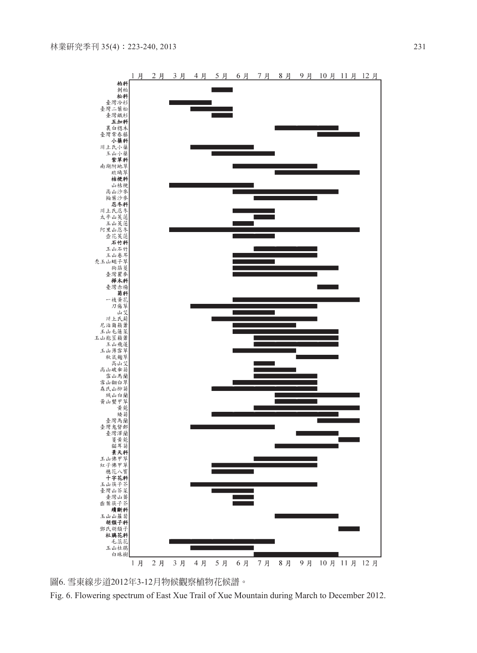

圖6. 雪東線步道2012年3-12月物候觀察植物花候譜。

Fig. 6. Flowering spectrum of East Xue Trail of Xue Mountain during March to December 2012.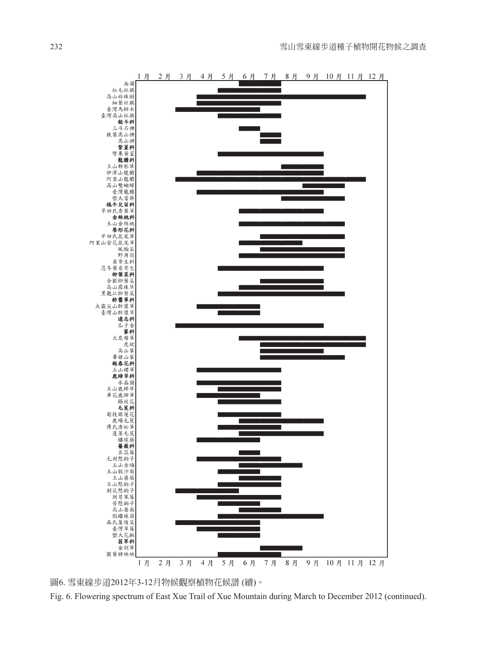

圖6. 雪東線步道2012年3-12月物候觀察植物花候譜 (續)。

Fig. 6. Flowering spectrum of East Xue Trail of Xue Mountain during March to December 2012 (continued).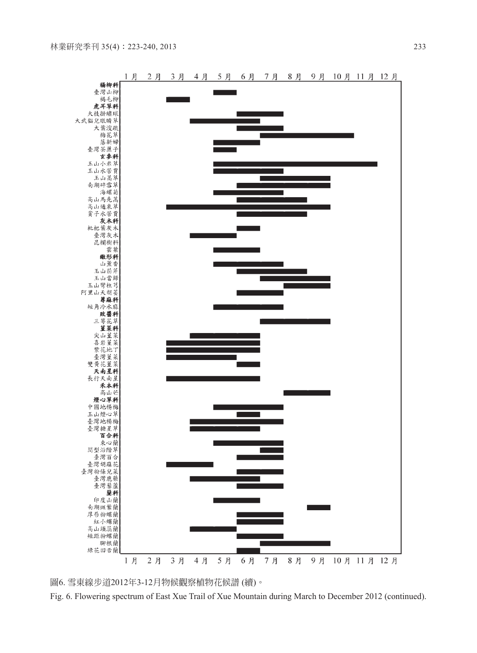



Fig. 6. Flowering spectrum of East Xue Trail of Xue Mountain during March to December 2012 (continued).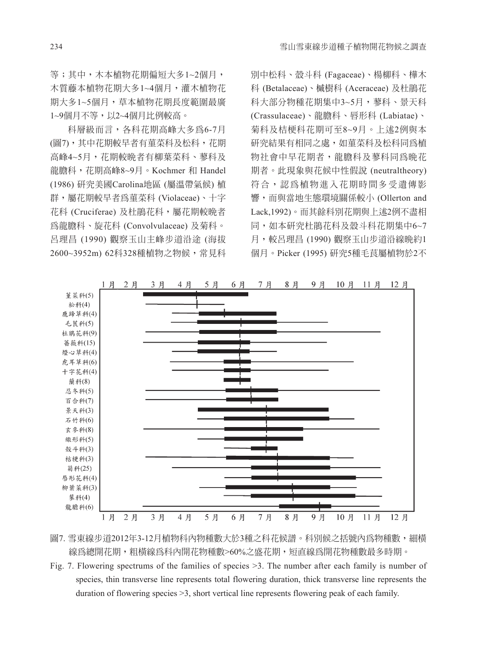等;其中,木本植物花期偏短大多1~2個月, 木質藤本植物花期大多1~4個月,灌木植物花 期大多1~5個月,草本植物花期長度範圍最廣 1~9個月不等,以2~4個月比例較高。

科層級而言,各科花期高峰大多為6-7月 (圖7),其中花期較早者有菫菜科及松科,花期 高峰4~5月,花期較晚者有柳葉菜科、蓼科及 龍膽科,花期高峰8~9月。Kochmer 和 Handel (1986) 研究美國Carolina地區 (屬溫帶氣候) 植 群,屬花期較早者為菫菜科 (Violaceae)、十字 花科 (Cruciferae) 及杜鵑花科,屬花期較晚者 為龍膽科、旋花科 (Convolvulaceae) 及菊科。 呂理昌 (1990) 觀察玉山主峰步道沿途 (海拔 2600~3952m) 62科328種植物之物候,常見科

別中松科、殼斗科 (Fagaceae)、楊柳科、樺木 科 (Betalaceae)、槭樹科 (Aceraceae) 及杜鵑花 科大部分物種花期集中3~5月,蓼科、景天科 (Crassulaceae)、龍膽科、唇形科 (Labiatae)、 菊科及桔梗科花期可至8~9月。上述2例與本 研究結果有相同之處,如菫菜科及松科同為植 物社會中早花期者,龍膽科及蓼科同為晚花 期者。此現象與花候中性假說 (neutraltheory) 符合,認為植物進入花期時間多受遺傳影 響,而與當地生態環境關係較小 (Ollerton and Lack,1992)。而其餘科別花期與上述2例不盡相 同,如本研究杜鵑花科及殼斗科花期集中6~7 月,較呂理昌 (1990) 觀察玉山步道沿線晚約1 個月。Picker (1995) 研究5種毛茛屬植物於2不



圖7. 雪東線步道2012年3-12月植物科內物種數大於3種之科花候譜。科別候之括號內為物種數,細構 線為總開花期,粗橫線為科內開花物種數>60%之盛花期,短直線為開花物種數最多時期。

Fig. 7. Flowering spectrums of the families of species >3. The number after each family is number of species, thin transverse line represents total flowering duration, thick transverse line represents the duration of flowering species >3, short vertical line represents flowering peak of each family.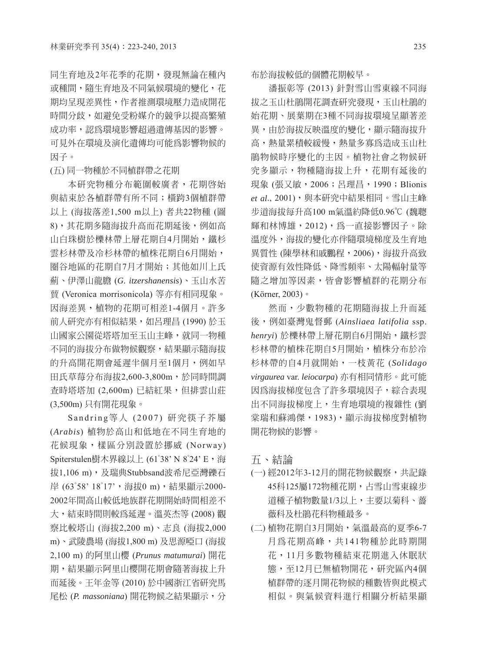同生育地及2年花季的花期,發現無論在種內 或種間,隨生育地及不同氣候環境的變化,花 期均呈現差異性,作者推測環境壓力造成開花 時間分歧,如避免受粉媒介的競爭以提高繁殖 成功率,認為環境影響超過遺傳基因的影響。 可見外在環境及演化遺傳均可能為影響物候的 因子。

(五) 同一物種於不同植群帶之花期

本研究物種分布範圍較廣者,花期啟始 與結束於各植群帶有所不同;橫跨3個植群帶 以上 (海拔落差1,500 m以上) 者共22物種 (圖 8),其花期多隨海拔升高而花期延後,例如高 山白珠樹於櫟林帶上層花期自4月開始,鐵杉 雲杉林帶及冷杉林帶的植株花期自6月開始, 圈谷地區的花期自7月才開始;其他如川上氏 薊、伊澤山龍膽 (*G. itzershanensis*)、玉山水苦 蕒 (Veronica morrisonicola) 等亦有相同現象。 因海差異,植物的花期可相差1-4個月。許多 前人研究亦有相似結果,如呂理昌 (1990) 於玉 山國家公園從塔塔加至玉山主峰,就同一物種 不同的海拔分布做物候觀察,結果顯示隨海拔 的升高開花期會延遲半個月至1個月,例如早 田氏草莓分布海拔2,600-3,800m,於同時間調 查時塔塔加 (2,600m) 已結紅果,但排雲山莊 (3,500m) 只有開花現象。

Sandring等人 (2007) 研究筷子芥屬 (*Arabis*) 植物於高山和低地在不同生育地的 花候現象,樣區分別設置於挪威 (Norway) Spiterstulen樹木界線以上 (61°38' N 8°24' E, 海 拔1,106 m), 及瑞典Stubbsand波希尼亞灣礫石 岸 (63°58' 18°17', 海拔0 m), 結果顯示2000-2002年間高山較低地族群花期開始時間相差不 大,結束時間則較為延遲。溫英杰等 (2008) 觀 察比較塔山 (海拔2,200 m)、志良 (海拔2,000 m)、武陵農場 (海拔1,800 m) 及思源啞口 (海拔 2,100 m) 的阿里山櫻 (*Prunus matumurai*) 開花 期,結果顯示阿里山櫻開花期會隨著海拔上升 而延後。王年金等 (2010) 於中國浙江省研究馬 尾松 (*P. massoniana*) 開花物候之結果顯示,分 布於海拔較低的個體花期較早。

潘振彰等 (2013) 針對雪山雪東線不同海 拔之玉山杜鵑開花調查研究發現,玉山杜鵑的 始花期、展葉期在3種不同海拔環境呈顯著差 異,由於海拔反映溫度的變化,顯示隨海拔升 高,熱量累積較緩慢,熱量多寡為造成玉山杜 鵑物候時序變化的主因。植物社會之物候研 究多顯示,物種隨海拔上升,花期有延後的 現象 (張又敏, 2006; 呂理昌, 1990; Blionis et al., 2001), 與本研究中結果相同。雪山主峰 步道海拔每升高100 m氣溫約降低0.96℃ (魏聰 輝和林博雄,2012),為一直接影響因子。除 溫度外,海拔的變化亦伴隨環境梯度及生育地 異質性 (陳學林和戚鵬程,2006),海拔升高致 使資源有效性降低、降雪頻率、太陽輻射量等 隨之增加等因素,皆會影響植群的花期分布 (Körner, 2003)。

然而,少數物種的花期隨海拔上升而延 後,例如臺灣鬼督郵 (*Ainsliaea latifolia* ssp. *henryi*) 於櫟林帶上層花期自6月開始,鐵杉雲 杉林帶的植株花期自5月開始,植株分布於冷 杉林帶的自4月就開始,一枝黃花 (*Solidago virgaurea* var. *leiocarpa*) 亦有相同情形。此可能 因為海拔梯度包含了許多環境因子,綜合表現 出不同海拔梯度上,生育地環境的複雜性 (劉 棠瑞和蘇鴻傑,1983),顯示海拔梯度對植物 開花物候的影響。

五、結論

- (一) 經2012年3-12月的開花物候觀察,共記錄 45科125屬172物種花期,占雪山雪東線步 道種子植物數量1/3以上,主要以菊科、薔 薇科及杜鵑花科物種最多。
- (二) 植物花期自3月開始,氣溫最高的夏季6-7 月為花期高峰,共141物種於此時期開 花,11月多數物種結束花期進入休眠狀 態,至12月已無植物開花,研究區內4個 植群帶的逐月開花物候的種數皆與此模式 相似。與氣候資料進行相關分析結果顯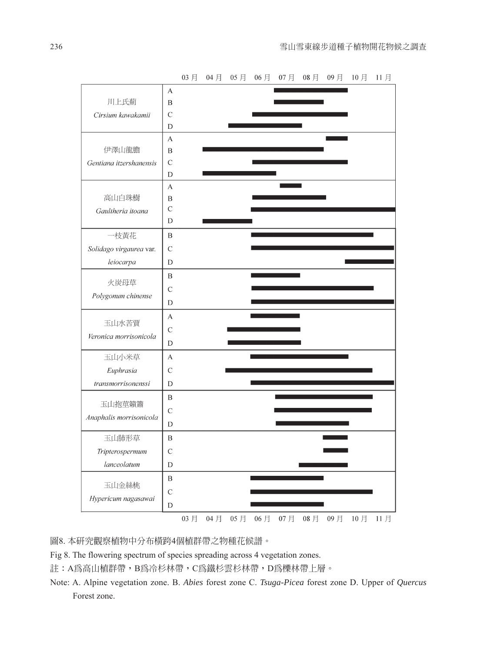

03月 04月 05月 06月 07月 08月 09月 10月 11月

圖8. 本研究觀察植物中分布橫跨4個植群帶之物種花候譜。

Fig 8. The flowering spectrum of species spreading across 4 vegetation zones.

註:A為高山植群帶,B為冷杉林帶,C為鐵杉雲杉林帶,D為櫟林帶上層。

Note: A. Alpine vegetation zone. B. *Abies* forest zone C. *Tsuga-Picea* forest zone D. Upper of *Quercus*  Forest zone.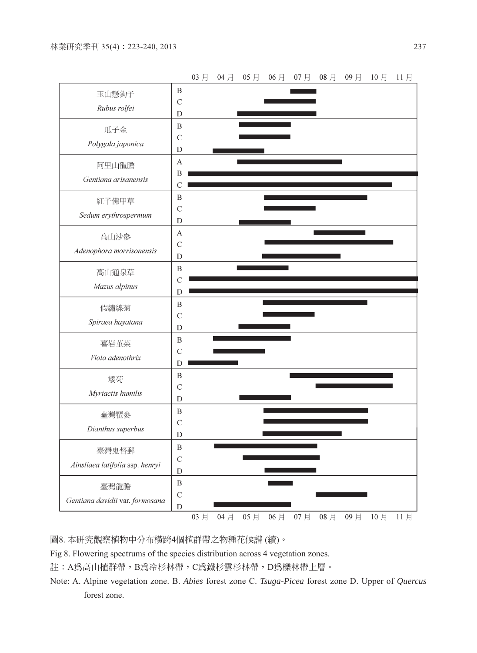

圖8. 本研究觀察植物中分布橫跨4個植群帶之物種花候譜 (續)。

Fig 8. Flowering spectrums of the species distribution across 4 vegetation zones.

註:A為高山植群帶,B為冷杉林帶,C為鐵杉雲杉林帶,D為櫟林帶上層。

Note: A. Alpine vegetation zone. B. *Abies* forest zone C. *Tsuga-Picea* forest zone D. Upper of *Quercus*  forest zone.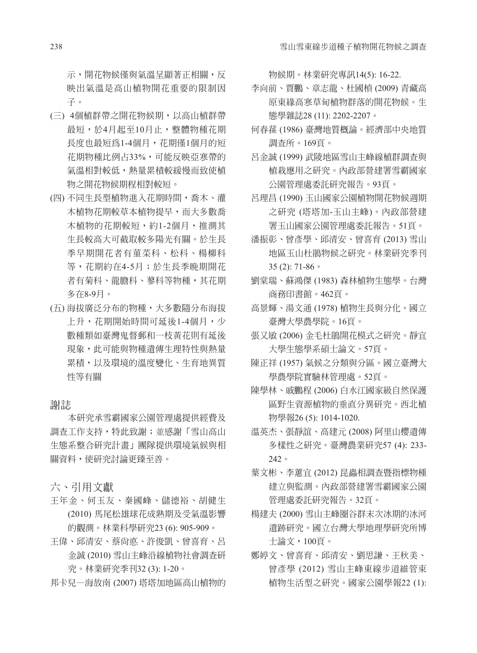示,開花物候僅與氣溫呈顯著正相關,反 映出氣溫是高山植物開花重要的限制因 子。

- (三) 4個植群帶之開花物候期,以高山植群帶 最短,於4月起至10月止,整體物種花期 長度也最短為1-4個月,花期僅1個月的短 花期物種比例占33%,可能反映亞寒帶的 氣溫相對較低,熱量累積較緩慢而致使植 物之開花物候期程相對較短。
- (四) 不同生長型植物進入花期時間,喬木、灌 木植物花期較草本植物提早,而大多數喬 木植物的花期較短,約1-2個月,推測其 生長較高大可截取較多陽光有關。於生長 季早期開花者有菫菜科、松科、楊柳科 等,花期約在4-5月;於生長季晚期開花 者有菊科、龍膽科、蓼科等物種,其花期 多在8-9月。
- (五) 海拔廣泛分布的物種,大多數隨分布海拔 上升,花期開始時間可延後1-4個月,少 數種類如臺灣鬼督郵和一枝黃花則有延後 現象,此可能與物種遺傳生理特性與熱量 累積,以及環境的溫度變化、生育地異質 性等有關

#### 謝誌

本研究承雪霸國家公園管理處提供經費及 調查工作支持,特此致謝;並感謝「雪山高山 生態系整合研究計畫」團隊提供環境氣候與相 關資料,使研究討論更臻至善。

六、引用文獻

- 王年金、何玉友、秦國峰、儲德裕、胡健生 (2010) 馬尾松雄球花成熟期及受氣溫影響 的觀測。林業科學研究23 (6): 905-909。
- 王偉、邱清安、蔡尚悳、許俊凱、曾喜育、呂 金誠 (2010) 雪山主峰沿線植物社會調查研 究。林業研究季刊32 (3): 1-20。
- 邦卡兒—海放南 (2007) 塔塔加地區高山植物的

物候期。林業研究專訊14(5): 16-22.

- 李向前、賈鵬、章志龍、杜國楨 (2009) 青藏高 原東緣高寒草甸植物群落的開花物候。生 態學雜誌28 (11): 2202-2207。
- 何春蓀 (1986) 臺灣地質概論。經濟部中央地質 調查所。169頁。
- 呂金誠 (1999) 武陵地區雪山主峰線植群調查與 植栽應用之研究。內政部營建署雪霸國家 公園管理處委託研究報告。93頁。
- 呂理昌 (1990) 玉山國家公園植物開花物候週期 之研究 (塔塔加-玉山主峰)。內政部營建 署玉山國家公園管理處委託報告。51頁。
- 潘振彰、曾彥學、邱清安、曾喜育 (2013) 雪山 地區玉山杜鵑物候之研究。林業研究季刊 35 (2): 71-86。
- 劉棠瑞、蘇鴻傑 (1983) 森林植物生態學。台灣 商務印書館。462頁。
- 高景輝、湯文通 (1978) 植物生長與分化。國立 臺灣大學農學院。16頁。
- 張又敏 (2006) 金毛杜鵑開花模式之研究。靜宜 大學生態學系碩士論文。57頁。
- 陳正祥 (1957) 氣候之分類與分區。國立臺灣大 學農學院實驗林管理處。52頁。
- 陳學林、戚鵬程 (2006) 白水江國家級自然保護 區野生資源植物的垂直分異研究。西北植 物學報26 (5): 1014-1020.
- 溫英杰、張靜誼、高建元 (2008) 阿里山櫻遺傳 多樣性之研究。臺灣農業研究57 (4): 233- 242。
- 葉文彬、李蕙宜 (2012) 昆蟲相調查暨指標物種 建立與監測。內政部營建署雪霸國家公園 管理處委託研究報告。32頁。
- 楊建夫 (2000) 雪山主峰圈谷群末次冰期的冰河 遺跡研究。國立台灣大學地理學研究所博 士論文,100頁。
- 鄭婷文、曾喜育、邱清安、劉思謙、王秋美、 曾彥學 (2012) 雪山主峰東線步道維管束 植物生活型之研究。國家公園學報22 (1):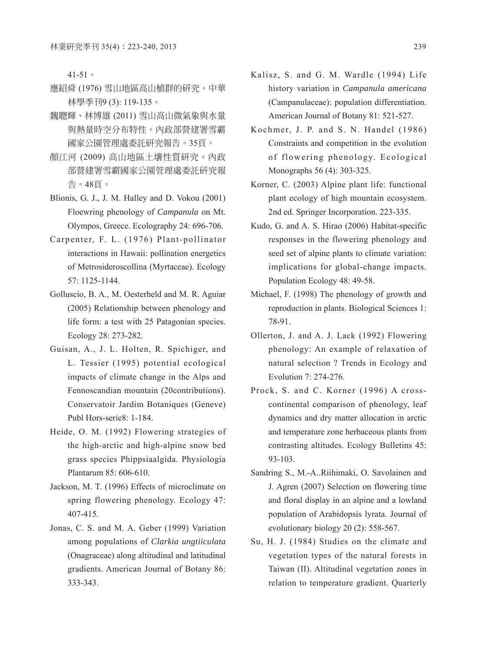41-51。

- 應紹舜 (1976) 雪山地區高山植群的研究。中華 林學季刊9 (3): 119-135。
- 魏聰輝、林博雄 (2011) 雪山高山微氣象與水量 與熱量時空分布特性。內政部營建署雪霸 國家公園管理處委託研究報告。35頁。
- 顏江河 (2009) 高山地區土壤性質研究。內政 部營建署雪霸國家公園管理處委託研究報 告。48頁。
- Blionis, G. J., J. M. Halley and D. Vokou (2001) Floewring phenology of *Campanula* on Mt. Olympos, Greece. Ecolography 24: 696-706.
- Carpenter, F. L. (1976) Plant-pollinator interactions in Hawaii: pollination energetics of Metrosideroscollina (Myrtaceae). Ecology 57: 1125-1144.
- Golluscio, B. A., M. Oesterheld and M. R. Aguiar (2005) Relationship between phenology and life form: a test with 25 Patagonian species. Ecology 28: 273-282.
- Guisan, A., J. L. Holten, R. Spichiger, and L. Tessier (1995) potential ecological impacts of climate change in the Alps and Fennoscandian mountain (20contributions). Conservatoir Jardim Botaniques (Geneve) Publ Hors-serie8: 1-184.
- Heide, O. M. (1992) Flowering strategies of the high-arctic and high-alpine snow bed grass species Phippsiaalgida. Physiologia Plantarum 85: 606-610.
- Jackson, M. T. (1996) Effects of microclimate on spring flowering phenology. Ecology 47: 407-415.
- Jonas, C. S. and M. A. Geber (1999) Variation among populations of *Clarkia ungtiiculata* (Onagraceae) along altitudinal and latitudinal gradients. American Journal of Botany 86: 333-343.
- Kalisz, S. and G. M. Wardle (1994) Life history variation in *Campanula americana* (Campanulaceae): population differentiation. American Journal of Botany 81: 521-527.
- Kochmer, J. P. and S. N. Handel (1986) Constraints and competition in the evolution of flowering phenology. Ecological Monographs 56 (4): 303-325.
- Korner, C. (2003) Alpine plant life: functional plant ecology of high mountain ecosystem. 2nd ed. Springer Incorporation. 223-335.
- Kudo, G. and A. S. Hirao (2006) Habitat-specific responses in the flowering phenology and seed set of alpine plants to climate variation: implications for global-change impacts. Population Ecology 48: 49-58.
- Michael, F. (1998) The phenology of growth and reproduction in plants. Biological Sciences 1: 78-91.
- Ollerton, J. and A. J. Lack (1992) Flowering phenology: An example of relaxation of natural selection ? Trends in Ecology and Evolution 7: 274-276.
- Prock, S. and C. Korner (1996) A crosscontinental comparison of phenology, leaf dynamics and dry matter allocation in arctic and temperature zone herbaceous plants from contrasting altitudes. Ecology Bulletins 45: 93-103.
- Sandring S., M.-A..Riihimaki, O. Savolainen and J. Agren (2007) Selection on flowering time and floral display in an alpine and a lowland population of Arabidopsis lyrata. Journal of evolutionary biology 20 (2): 558-567.
- Su, H. J. (1984) Studies on the climate and vegetation types of the natural forests in Taiwan (II). Altitudinal vegetation zones in relation to temperature gradient. Quarterly